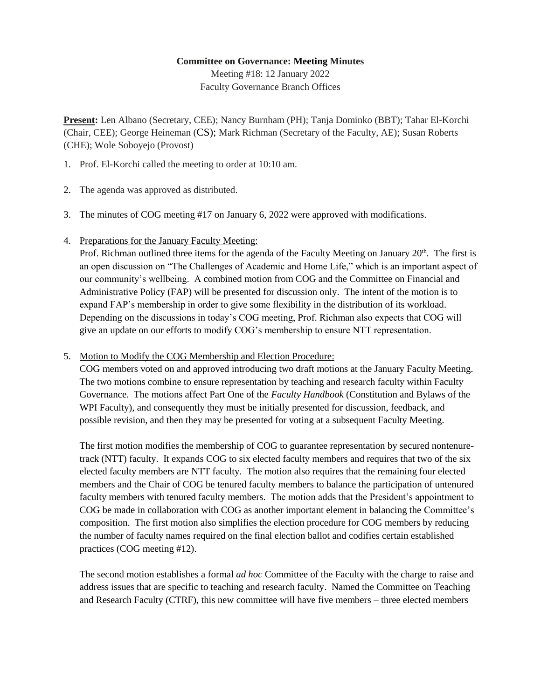## **Committee on Governance: Meeting Minutes**

Meeting #18: 12 January 2022 Faculty Governance Branch Offices

**Present:** Len Albano (Secretary, CEE); Nancy Burnham (PH); Tanja Dominko (BBT); Tahar El-Korchi (Chair, CEE); George Heineman (CS); Mark Richman (Secretary of the Faculty, AE); Susan Roberts (CHE); Wole Soboyejo (Provost)

- 1. Prof. El-Korchi called the meeting to order at 10:10 am.
- 2. The agenda was approved as distributed.
- 3. The minutes of COG meeting #17 on January 6, 2022 were approved with modifications.
- 4. Preparations for the January Faculty Meeting:

Prof. Richman outlined three items for the agenda of the Faculty Meeting on January  $20<sup>th</sup>$ . The first is an open discussion on "The Challenges of Academic and Home Life," which is an important aspect of our community's wellbeing. A combined motion from COG and the Committee on Financial and Administrative Policy (FAP) will be presented for discussion only. The intent of the motion is to expand FAP's membership in order to give some flexibility in the distribution of its workload. Depending on the discussions in today's COG meeting, Prof. Richman also expects that COG will give an update on our efforts to modify COG's membership to ensure NTT representation.

5. Motion to Modify the COG Membership and Election Procedure:

COG members voted on and approved introducing two draft motions at the January Faculty Meeting. The two motions combine to ensure representation by teaching and research faculty within Faculty Governance. The motions affect Part One of the *Faculty Handbook* (Constitution and Bylaws of the WPI Faculty), and consequently they must be initially presented for discussion, feedback, and possible revision, and then they may be presented for voting at a subsequent Faculty Meeting.

The first motion modifies the membership of COG to guarantee representation by secured nontenuretrack (NTT) faculty. It expands COG to six elected faculty members and requires that two of the six elected faculty members are NTT faculty. The motion also requires that the remaining four elected members and the Chair of COG be tenured faculty members to balance the participation of untenured faculty members with tenured faculty members. The motion adds that the President's appointment to COG be made in collaboration with COG as another important element in balancing the Committee's composition. The first motion also simplifies the election procedure for COG members by reducing the number of faculty names required on the final election ballot and codifies certain established practices (COG meeting #12).

The second motion establishes a formal *ad hoc* Committee of the Faculty with the charge to raise and address issues that are specific to teaching and research faculty. Named the Committee on Teaching and Research Faculty (CTRF), this new committee will have five members – three elected members